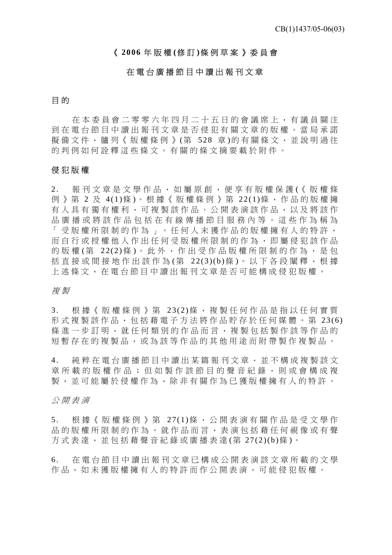# 《 **2006** 年版權 **(**修 訂 **)**條例草案》委員會

# 在電台廣播節目中讀出報刊文章

# 目 的

在本委員會二零零六年四月二十五日 的會議席上,有議員關注 到在電台節目中讀出報刊文章是否侵 犯有關文章的版權。當局承諾 擬備文件, 臚列《版權條例》(第 528 章)的有關條文, 並說明過往 的判例如何詮釋這些條文。有關的條文摘要載於附件。

# 侵犯版權

2. 報刊文章是文學作品,如屬原創,便享有版權保護(《版權條 例》第 2 及 4(1)條)。根據《版權條例》第 22(1)條,作品的版權擁 有人具有獨有權利,可複製該作品、 公開表演該作品,以及將該作 品廣播或將該作品包括在有線傳播節目服務內等。這些作為稱為 「受版權所限制的作為」。任何人未 獲作品的版權擁有人的特許, 而自行或授權他人作出任何受版權所限制的作為,即屬侵犯該作品 的版權 (第 22(2)條)。此外,作出受作品版權所限制的作為,是句 括直接或間接地作出該作為(第 22(3)(b)條)。以下各段闡釋,根據 上述條文,在電台節目中讀出報刊文章是否可能構成侵犯版權。

# 複 製

3. 根據《版權條例》第 23(2)條,複製任何作品是指以任何實質 形式複製該作品,包括藉電子方法將作品貯存於任何媒體。第 23(6) 條進一步訂明,就任何類別的作品而 言,複製包括製作該等作品的 短暫存在的複製品,或為該等作品的其他用途而附帶製作複製品。

4. 純粹在電台廣播節目中讀出某篇報刊文章,並不構成複製該文 章所載的版權作品;但如製作該節目的聲音紀錄,則或會構成複 製,並可能屬於侵權作為,除非有關作為已獲版權擁有人的特許。

# 公開表演

5. 根據《版權條例》第 27(1)條,公開表演有關作品是受文學作 品的版權所限制的作為。就作品而言,表演包括藉任何視像或有聲 方式表達,並包括藉聲音紀錄或廣播表達(第 27(2)(b)條)。

6. 在電台節目中讀出報刊文章已構成公 開表演該文章所載的文學 作品,如未獲版權擁有人的特許而作公開表演,可能侵犯版權。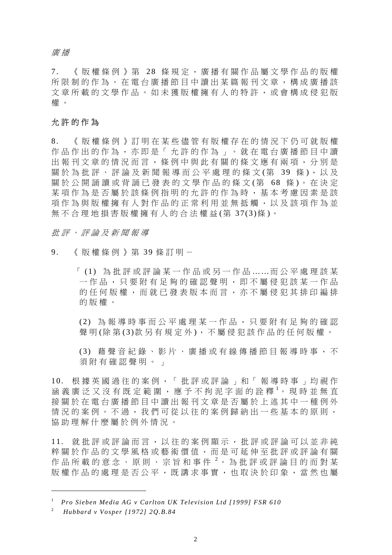廣 播

7. 《版權條例》第 28 條規定,廣播有關作品屬文學作品的版權 所限制的作為。在電台廣播節目中讀出某篇報刊文章,構成廣播該 文章所載的文學作品。如未獲版權擁 有人的特許,或會構成侵犯版 權 。

# 允許的作為

8. 《版權條例》訂明在某些儘管有版權 存在的情況下仍可就版權 作品作出的作為,亦即是「允許的作 為」。就在電台廣播節目中讀 出報刊文章的情況而言,條例中與此有關的條文應有兩項,分別是 關於為批評、評論及新聞報導而公平處理的條文(第 39 條),以及 關於公開誦讀或背誦已發表的文學作品的條文(第 68 條)。在決定 某項作為是否屬於該條例指明的允許的作為時,基本考慮因素是該 項作為與版權擁有人對作品的正常利用並無抵觸,以及該項作為並 無不合理地損害版權擁有人的合法權益(第 37(3)條)。

批評、評論及新聞報導

9. 《版權條例》第 39 條訂明 -

「 (1) 為批評或評論某一作品或另一作品 … …而公平處理該某 一作品,只要附有足夠的確認聲明,即不屬侵犯該某一作品 的任何版權,而就已發表版本而言,亦不屬侵犯其排印編排 的版權。

 (2) 為報導時事而公平處理某一作品,只要附有足夠的確認 聲明(除第(3)款另有規定外),不屬侵犯該作品的任何版權。

 (3) 藉聲音紀錄、影片、廣播或有線傳播節目報導時事,不 須附有確認聲明。」

10. 根據英國過往的案例,「批評或評論 」和「報導時事」均視作 涵 義 廣 泛 又 沒 有 既 定 範 圍 , 應 予 不 拘 泥 字 面 的 詮 釋 <sup>1</sup>。 現 時 並 無 直 接關於在電台廣播節目中讀出報刊文章是否屬於上述其中一種例外 情況的案例。不過,我們可從以往的案例歸納出一些基本的原則, 協助理解什麼屬於例外情況。

11. 就批評或評論而言,以往的案例顯示 ,批評或評論可以並非純 粹關於作品的文學風格或藝術價值, 而是可延伸至批評或評論有關 作品所載的意念、原則、宗旨和事件 <sup>2</sup>。為批評或評論目的而對某 版權作品的處理是否公平,既講求事實,也取決於印象,當然也屬

 $\overline{a}$ 

<sup>1</sup> *Pro Sieben Media AG v Carlton UK Television Ltd [1999] FSR 610*

<sup>2</sup> *Hubbard v Vosper [1972] 2Q.B.84*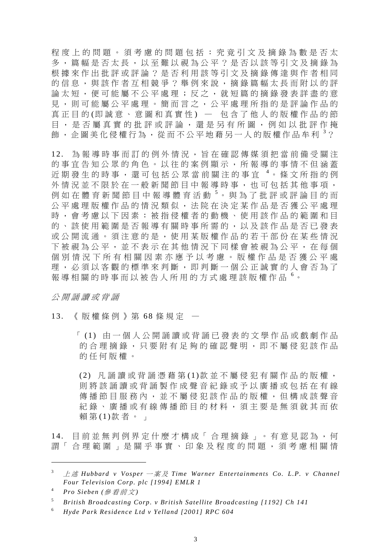程度上的問題。須考慮的問題包括: 究竟引文及摘錄為數是否太 多, 篇幅是否太長, 以至難以視為公平?是否以該等引文及摘錄為 根據來作出批評或評論?是否利用該等引文及摘錄傳達與作者相同 的信息,與該作者互相競爭?舉例來說,摘錄篇幅太長而附以的評 論太短,便可能屬不公平處理;反之,就短篇的摘錄發表詳盡的意 見,則可能屬公平處理。簡而言之,公平處理所指的是評論作品的 真正目的(即誠意、意圖和真實性) — 包含了他人的版權作品的節 目,是否屬真實的批評或評論,還是另有所圖,例如以批評作掩 飾,企圖美化侵權行為,從而不公平地藉另一人的版權作品牟利<sup>3</sup>?

12. 為報導時事而訂的例外情況,旨在確認傳媒須把當前備受關注 的事宜告知公眾的角色。以往的案例顯示,所報導的事情不但涵蓋 近期發生的時事,還可包括公眾當前關注的事宜<sup>4。</sup>條文所指的例 外情況並不限於在一般新聞節目中報導時事,也可包括其他事項, 例如在體育新聞節目中報導體育活動<sup>5</sup>。與為了批評或評論目的而 公平處理版權作品的情況類似,法院在決定某作品是否獲公平處理 時,會考慮以下因素:被指侵權者的動機、使用該作品的範圍和目 的、該使用範圍是否報導有關時事所需的,以及該作品是否已發表 或公開流通。須注意的是,使用某版權作品的若干部份在某些情況 下被視為公平,並不表示在其他情況下同樣會被視為公平,在每個 個別情況下所有相關因素亦應予以考慮。版權作品是否獲公平處 理,必須以客觀的標準來判斷,即判斷一個公正誠實的人會否為了 報導相關的時事而以被告人所用的方式處理該版權作品 <sup>6</sup>。

公開誦讀或背誦

# 13. 《版權條例》第 6 8 條規定 —

「 (1) 由一個人公開誦讀或背誦已發表的文學作品或戲劇作品 的合理摘錄,只要附有足夠的確認聲明,即不屬侵犯該作品 的任何版權。

 (2) 凡誦讀或背誦憑藉第 (1)款並不屬侵犯有關作品的版權, 則將該誦讀或背誦製作成聲音紀錄或予以廣播或包括在有線 傳播節目服務內,並不屬侵犯該作品的版權,但構成該聲音 紀錄、廣播或有線傳播節目的材料,須主要是無須就其而依 賴第 (1)款者。」

14. 目前並無判例界定什麼才構成「合理摘錄」。有意見認為,何 謂「合理範圍」是關乎事實、印象及程度的問題,須考慮相關情

 $\overline{a}$ 

<sup>3</sup> 上 述 *Hubbard v Vosper* 一案及 *Time Warner Entertainments Co. L.P. v Channel Four Television Corp. plc [1994] EMLR 1*

<sup>4</sup> *Pro Sieben (*參看前文 *)*

<sup>5</sup> *British Broadcasting Corp. v British Satellite Broadcasting [1192] Ch 141*

<sup>6</sup> *Hyde Park Residence Ltd v Yelland [2001] RPC 604*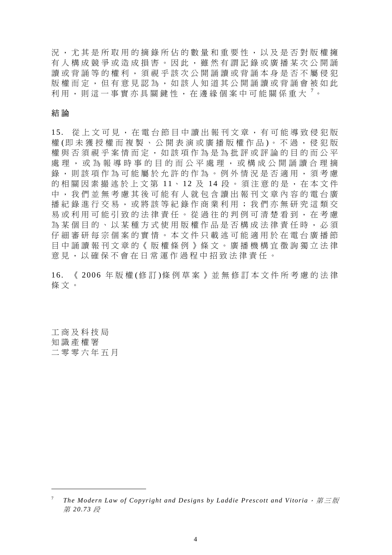況,尤其是所取用的摘錄所佔的數量和重要性,以及是否對版權擁 有人構成競爭或造成損害。因此,雖然有謂記錄或廣播某次公開誦 讀或背誦等的權利,須視乎該次公開誦讀或背誦本身是否不屬侵犯 版權而定,但有意見認為,如該人知道其公開誦讀或背誦會被如此 利用,則這一事實亦具關鍵性,在邊緣個案中可能關係重大<sup>,。</sup>

# 結 論

15. 從上文可見,在電台節目中讀出報刊文章,有可能導致侵犯版 權 (即 未 獲 授 權 而 複 製 、 公 開 表 演 或 廣 播 版 權 作 品 )。 不 過 , 侵 犯 版 權與否須視乎案情而定,如該項作為是為批評或評論的目的而公平 處理,或為報導時事的目的而公平處理,或構成公開誦讀合理摘 錄,則該項作為可能屬於允許的作為。例外情況是否適用,須考慮 的相關因素撮述於上文第 11、12 及 14 段。須注意的是,在本文件 中,我們並無考慮其後可能有人就包 含讀出報刊文章內容的電台廣 播紀錄進行交易,或將該等紀錄作商業利用;我們亦無研究這類交 易或利用可能引致的法律責任。從過 往的判例可清楚看到,在考慮 為某個目的、以某種方式使用版權作品是否構成法律責任時,必須 仔細審研每宗個案的實情。本文件只載述可能適用於在電台廣播節 目中誦讀報刊文章的《版權條例》條 文。廣播機構宜徵詢獨立法律 意見,以確保不會在日常運作過程中招致法律責任。

16. 《 2006 年版權 (修訂)條例草案》並無修訂本文件所考慮的法律 條文。

工商及科技局 知識產權署 二零零六年五月

 $\overline{a}$ 

<sup>7</sup> *The Modern Law of Copyright and Designs by Laddie Prescott and Vitoria*,第三版 第 *20.73* 段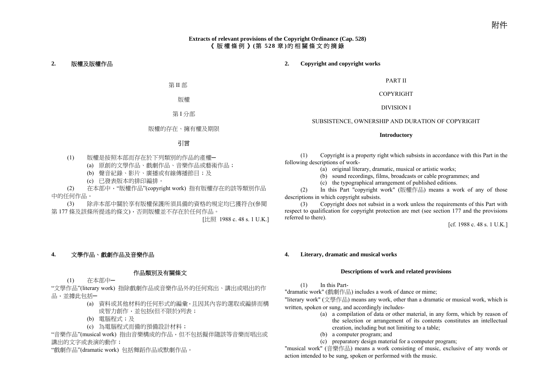## **Extracts of relevant provisions of the Copyright Ordinance (Cap. 528)**  《版權條例》 **(**第 **528** 章 **)**的相關條文的摘錄

## **2.** 版權及版權作品

#### **2. Copyright and copyright works**

第 II 部

版權

第 I 分部

版權的存在、擁有權及期限

### 引言

(1) 版權是按照本部而存在於下列類別的作品的產權─

(a) 原創的文學作品、戲劇作品、音樂作品或藝術作品;

(b) 聲音紀錄、影片、廣播或有線傳播節目;及

(c) 已發表版本的排印編排。

 (2) 在本部中,"版權作品"(copyright work) 指有版權存在的該等類別作品 中的任何作品。

 (3) 除非本部中關於享有版權保護所須具備的資格的規定均已獲符合(參閱 第 <sup>177</sup> 條及該條所提述的條文),否則版權並不存在於任何作品。

[比照 1988 c. 48 s. 1 U.K.]

## **4.** 文學作品、戲劇作品及音樂作品

## 作品類別及有關條文

(1) 在本部中─

"文學作品"(literary work) 指除戲劇作品或音樂作品外的任何寫出、講出或唱出的作 品,並據此包括一

- (a) 資料或其他材料的任何形式的編彙,且因其內容的選取或編排而構 成智力創作,並包括(但不限於)列表;
- (b) 電腦程式;及
- (c) 為電腦程式而備的預備設計材料;

"音樂作品"(musical work) 指由音樂構成的作品,但不包括擬伴隨該等音樂而唱出或 講出的文字或表演的動作;

"戲劇作品"(dramatic work) 包括舞蹈作品或默劇作品。

PART II

COPYRIGHT

DIVISION I

#### SUBSISTENCE, OWNERSHIP AND DURATION OF COPYRIGHT

#### **Introductory**

 (1) Copyright is a property right which subsists in accordance with this Part in the following descriptions of work-

- (a) original literary, dramatic, musical or artistic works;
- (b) sound recordings, films, broadcasts or cable programmes; and
- (c) the typographical arrangement of published editions.

 (2) In this Part "copyright work" (版權作品) means a work of any of those descriptions in which copyright subsists.

 $(3)$  Copyright does not subsist in a work unless the requirements of this Part with respect to qualification for copyright protection are met (see section 177 and the provisions referred to there).

[cf. 1988 c. 48 s. 1 U.K.]

#### **4. Literary, dramatic and musical works**

#### **Descriptions of work and related provisions**

(1) In this Part-

"dramatic work" (戲劇作品) includes a work of dance or mime;

"literary work" (文學作品) means any work, other than a dramatic or musical work, which is written, spoken or sung, and accordingly includes-

- (a) a compilation of data or other material, in any form, which by reason of the selection or arrangement of its contents constitutes an intellectual creation, including but not limiting to a table;
- (b) a computer program; and
- (c) preparatory design material for a computer program;

"musical work" (音樂作品) means a work consisting of music, exclusive of any words or action intended to be sung, spoken or performed with the music.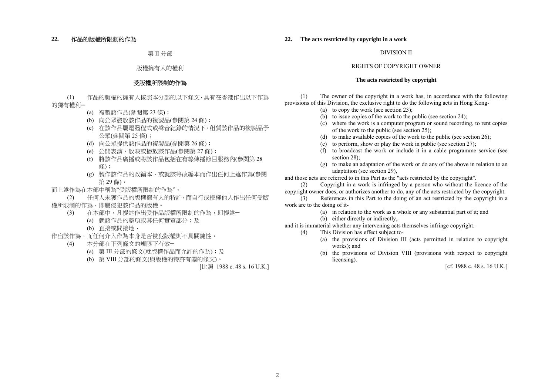## **22.** 作品的版權所限制的作為

第 II 分部

#### 版權擁有人的權利

### 受版權所限制的作為

 (1) 作品的版權的擁有人按照本分部的以下條文,具有在香港作出以下作為 的獨有權利─

- (a) 複製該作品(參閱第 <sup>23</sup> 條);
- (b) 向公眾發放該作品的複製品(參閱第 <sup>24</sup> 條);
- (c) 在該作品屬電腦程式或聲音紀錄的情況下,租賃該作品的複製品予 公眾(參閱第 <sup>25</sup> 條);
- (d) 向公眾提供該作品的複製品(參閱第 <sup>26</sup> 條);
- (e) 公開表演、放映或播放該作品(參閱第 <sup>27</sup> 條);
- (f) 將該作品廣播或將該作品包括在有線傳播節目服務內(參閱第 <sup>28</sup> 條);
- (g) 製作該作品的改編本,或就該等改編本而作出任何上述作為(參閱 第 29 條),

而上述作為在本部中稱為"受版權所限制的作為"。

 (2) 任何人未獲作品的版權擁有人的特許,而自行或授權他人作出任何受版 權所限制的作為,即屬侵犯該作品的版權。

- (3) 在本部中,凡提述作出受作品版權所限制的作為,即提述─
	- (a) 就該作品的整項或其任何實質部分;及
	- (b) 直接或間接地,
- 作出該作為,而任何介入作為本身是否侵犯版權則不具關鍵性。
	- (4) 本分部在下列條文的規限下有效─
		- (a) 第 III 分部的條文(就版權作品而允許的作為);及
		- (b) 第 VIII 分部的條文(與版權的特許有關的條文)。

[比照 1988 c. 48 s. 16 U.K.]

#### **22. The acts restricted by copyright in a work**

#### DIVISION II

#### RIGHTS OF COPYRIGHT OWNER

#### **The acts restricted by copyright**

 (1) The owner of the copyright in a work has, in accordance with the following provisions of this Division, the exclusive right to do the following acts in Hong Kong-

- (a) to copy the work (see section 23);
- (b) to issue copies of the work to the public (see section 24);
- (c) where the work is a computer program or sound recording, to rent copies of the work to the public (see section 25);
- (d) to make available copies of the work to the public (see section 26);
- (e) to perform, show or play the work in public (see section 27);
- (f) to broadcast the work or include it in a cable programme service (see section 28):
- (g) to make an adaptation of the work or do any of the above in relation to an adaptation (see section 29),

and those acts are referred to in this Part as the "acts restricted by the copyright".

 (2) Copyright in a work is infringed by a person who without the licence of the copyright owner does, or authorizes another to do, any of the acts restricted by the copyright.

 (3) References in this Part to the doing of an act restricted by the copyright in a work are to the doing of it-

- (a) in relation to the work as a whole or any substantial part of it; and
	- (b) either directly or indirectly,

and it is immaterial whether any intervening acts themselves infringe copyright.

- (4) This Division has effect subject to-
	- (a) the provisions of Division III (acts permitted in relation to copyright works): and
	- (b) the provisions of Division VIII (provisions with respect to copyright licensing).

[cf. 1988 c. 48 s. 16 U.K.]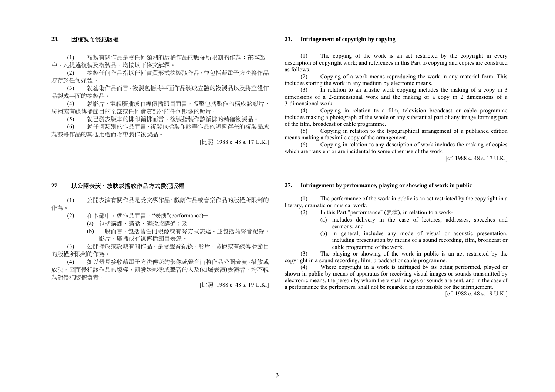#### **23.** 因複製而侵犯版權

 (1) 複製有關作品是受任何類別的版權作品的版權所限制的作為;在本部 中,凡提述複製及複製品,均按以下條文解釋。

 (2) 複製任何作品指以任何實質形式複製該作品,並包括藉電子方法將作品 貯存於任何媒體。

 (3) 就藝術作品而言,複製包括將平面作品製成立體的複製品以及將立體作 品製成平面的複製品。

 (4) 就影片、電視廣播或有線傳播節目而言,複製包括製作的構成該影片、 廣播或有線傳播節目的全部或任何實質部分的任何影像的照片。

(5) 就已發表版本的排印編排而言,複製指製作該編排的精確複製品。

 (6) 就任何類別的作品而言,複製包括製作該等作品的短暫存在的複製品或 為該等作品的其他用途而附帶製作複製品。

[比照 1988 c. 48 s. 17 U.K.]

#### **27.** 以公開表演、放映或播放作品方式侵犯版權

 (1) 公開表演有關作品是受文學作品、戲劇作品或音樂作品的版權所限制的 作為。

- (2) 在本部中,就作品而言,"表演"(performance)─
	- (a) 包括講課、講話、演說或講道;及
	- (b) 一般而言,包括藉任何視像或有聲方式表達,並包括藉聲音紀錄、 影片、廣播或有線傳播節目表達。

 (3) 公開播放或放映有關作品,是受聲音紀錄、影片、廣播或有線傳播節目 的版權所限制的作為。

 (4) 如以器具接收藉電子方法傳送的影像或聲音而將作品公開表演、播放或 放映,因而侵犯該作品的版權,則發送影像或聲音的人及(如屬表演)表演者,均不視 為對侵犯版權負責。

[比照 1988 c. 48 s. 19 U.K.]

#### **23. Infringement of copyright by copying**

 (1) The copying of the work is an act restricted by the copyright in every description of copyright work; and references in this Part to copying and copies are construed as follows.

 (2) Copying of a work means reproducing the work in any material form. This includes storing the work in any medium by electronic means.

 (3) In relation to an artistic work copying includes the making of a copy in 3 dimensions of a 2-dimensional work and the making of a copy in 2 dimensions of a 3-dimensional work.

 (4) Copying in relation to a film, television broadcast or cable programme includes making a photograph of the whole or any substantial part of any image forming part of the film, broadcast or cable programme.

 (5) Copying in relation to the typographical arrangement of a published edition means making a facsimile copy of the arrangement.

 (6) Copying in relation to any description of work includes the making of copies which are transient or are incidental to some other use of the work.

[cf. 1988 c. 48 s. 17 U.K.]

#### **27. Infringement by performance, playing or showing of work in public**

 (1) The performance of the work in public is an act restricted by the copyright in a literary, dramatic or musical work.

- (2) In this Part "performance" (表演), in relation to a work-
	- (a) includes delivery in the case of lectures, addresses, speeches and sermons; and
	- (b) in general, includes any mode of visual or acoustic presentation, including presentation by means of a sound recording, film, broadcast or cable programme of the work.

 (3) The playing or showing of the work in public is an act restricted by the copyright in a sound recording, film, broadcast or cable programme.

 $(4)$  Where copyright in a work is infringed by its being performed, played or shown in public by means of apparatus for receiving visual images or sounds transmitted by electronic means, the person by whom the visual images or sounds are sent, and in the case of a performance the performers, shall not be regarded as responsible for the infringement.

[cf. 1988 c. 48 s. 19 U.K.]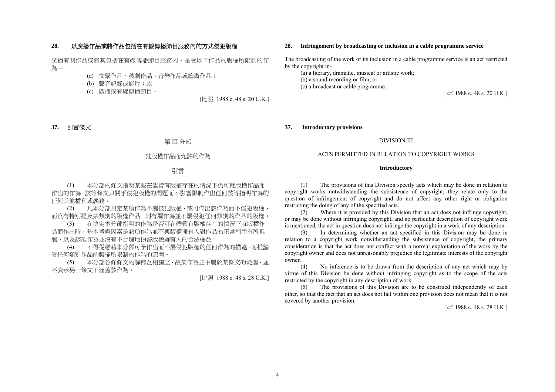## **28.** 以廣播作品或將作品包括在有線傳播節目服務內的方式侵犯版權

廣播有關作品或將其包括在有線傳播節目服務內,是受以下作品的版權所限制的作 為 ─

(a) 文學作品、戲劇作品、音樂作品或藝術作品;

(b) 聲音紀錄或影片;或

(c) 廣播或有線傳播節目。

[比照 1988 c. 48 s. 20 U.K.]

#### **37.** 引言條文

#### 第 III 分部

### 就版權作品而允許的作為

## 引言

 (1) 本分部的條文指明某些在儘管有版權存在的情況下仍可就版權作品而 作出的作為;該等條文只關乎侵犯版權的問題而不影響限制作出任何該等指明作為的 任何其他權利或義務。

 (2) 凡本分部規定某項作為不屬侵犯版權,或可作出該作為而不侵犯版權, 而沒有特別提及某類別的版權作品,則有關作為並不屬侵犯任何類別的作品的版權。

 (3) 在決定本分部指明的作為是否可在儘管有版權存在的情況下就版權作 品而作出時,基本考慮因素是該項作為並不與版權擁有人對作品的正常利用有所抵 觸,以及該項作為並沒有不合理地損害版權擁有人的合法權益。

 (4) 不得從憑藉本分部可予作出而不屬侵犯版權的任何作為的描述,而推論 受任何類別作品的版權所限制的作為的範圍。

 (5) 本分部各條條文的解釋互相獨立,故某作為並不屬於某條文的範圍,並 不表示另一條文不涵蓋該作為。

[比照 1988 c. 48 s. 28 U.K.]

#### **28. Infringement by broadcasting or inclusion in a cable programme service**

The broadcasting of the work or its inclusion in a cable programme service is an act restricted by the copyright in-

 (a) a literary, dramatic, musical or artistic work; (b) a sound recording or film; or (c) a broadcast or cable programme.

[cf. 1988 c. 48 s. 20 U.K.]

#### **37. Introductory provisions**

#### DIVISION III

#### ACTS PERMITTED IN RELATION TO COPYRIGHT WORKS

#### **Introductory**

 (1) The provisions of this Division specify acts which may be done in relation to copyright works notwithstanding the subsistence of copyright; they relate only to the question of infringement of copyright and do not affect any other right or obligation restricting the doing of any of the specified acts.

 (2) Where it is provided by this Division that an act does not infringe copyright, or may be done without infringing copyright, and no particular description of copyright work is mentioned, the act in question does not infringe the copyright in a work of any description.

 (3) In determining whether an act specified in this Division may be done in relation to a copyright work notwithstanding the subsistence of copyright, the primary consideration is that the act does not conflict with a normal exploitation of the work by the copyright owner and does not unreasonably prejudice the legitimate interests of the copyright owner.

 (4) No inference is to be drawn from the description of any act which may by virtue of this Division be done without infringing copyright as to the scope of the acts restricted by the copyright in any description of work.

 (5) The provisions of this Division are to be construed independently of each other, so that the fact that an act does not fall within one provision does not mean that it is not covered by another provision.

[cf. 1988 c. 48 s. 28 U.K.]